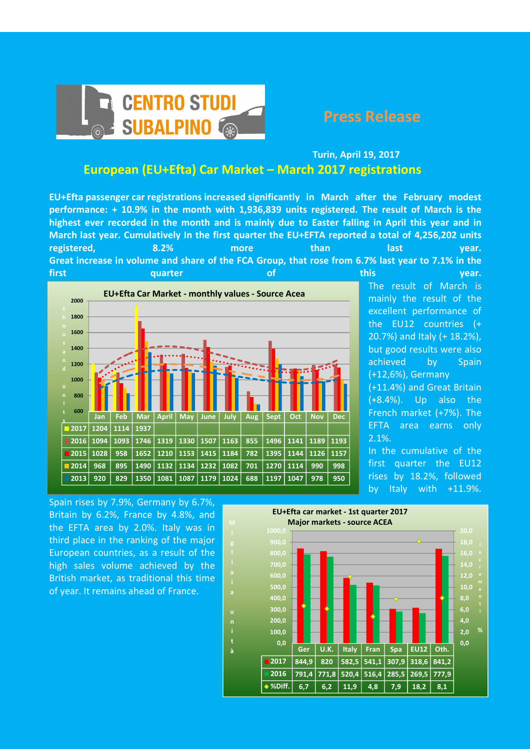

## Turin, April 19, 2017 European (EU+Efta) Car Market – March 2017 registrations

EU+Efta passenger car registrations increased significantly in March after the February modest performance: + 10.9% in the month with 1,936,839 units registered. The result of March is the highest ever recorded in the month and is mainly due to Easter falling in April this year and in March last year. Cumulatively In the first quarter the EU+EFTA reported a total of 4,256,202 units registered, and 8.2% more than last that has year. Great increase in volume and share of the FCA Group, that rose from 6.7% last year to 7.1% in the First this quarter of this year.



The result of March is mainly the result of the excellent performance of the EU12 countries (+ 20.7%) and Italy (+ 18.2%), but good results were also achieved by Spain (+12,6%), Germany (+11.4%) and Great Britain (+8.4%). Up also the French market (+7%). The EFTA area earns only 2.1%. In the cumulative of the

first quarter the EU12 rises by 18.2%, followed by Italy with +11.9%.

Spain rises by 7.9%, Germany by 6.7%, Britain by 6.2%, France by 4.8%, and the EFTA area by 2.0%. Italy was in third place in the ranking of the major European countries, as a result of the high sales volume achieved by the British market, as traditional this time of year. It remains ahead of France.

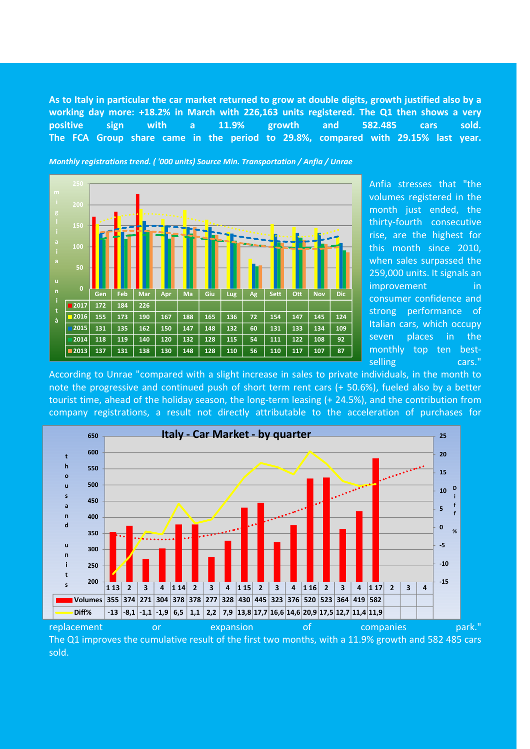As to Italy in particular the car market returned to grow at double digits, growth justified also by a working day more: +18.2% in March with 226,163 units registered. The Q1 then shows a very positive sign with a 11.9% growth and 582.485 cars sold. The FCA Group share came in the period to 29.8%, compared with 29.15% last year.

Gen | Feb | Mar | Apr | Ma | Giu | Lug | Ag | Sett | Ott | Nov | Dic 12017 172 184 226 2016| 155 | 173 | 190 | 167 | 188 | 165 | 136 | 72 | 154 | 147 | 145 | 124 2015| 131 | 135 | 162 | 150 | 147 | 148 | 132 | 60 | 131 | 133 | 134 | 109 2014| 118 | 119 | 140 | 120 | 132 | 128 | 115 | 54 | 111 | 122 | 108 | 92 2013| 137 | 131 | 138 | 130 | 148 | 128 | 110 | 56 | 110 | 117 | 107 | 87  $\overline{0}$ 50 150 i a u n i t à

Anfia stresses that "the volumes registered in the month just ended, the thirty-fourth consecutive rise, are the highest for this month since 2010, when sales surpassed the 259,000 units. It signals an improvement in consumer confidence and strong performance of Italian cars, which occupy seven places in the monthly top ten bestselling cars."

According to Unrae "compared with a slight increase in sales to private individuals, in the month to note the progressive and continued push of short term rent cars (+ 50.6%), fueled also by a better tourist time, ahead of the holiday season, the long-term leasing (+ 24.5%), and the contribution from company registrations, a result not directly attributable to the acceleration of purchases for



The Q1 improves the cumulative result of the first two months, with a 11.9% growth and 582 485 cars sold.

Monthly registrations trend. ( '000 units) Source Min. Transportation / Anfia / Unrae